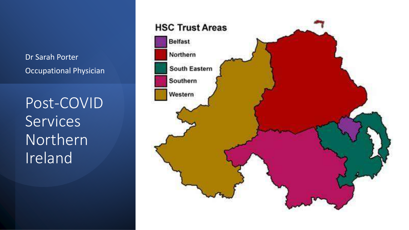Dr Sarah Porter Occupational Physician

Post-COVID Services Northern Ireland

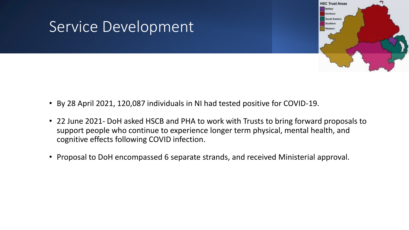

- By 28 April 2021, 120,087 individuals in NI had tested positive for COVID-19.
- 22 June 2021- DoH asked HSCB and PHA to work with Trusts to bring forward proposals to support people who continue to experience longer term physical, mental health, and cognitive effects following COVID infection.
- Proposal to DoH encompassed 6 separate strands, and received Ministerial approval.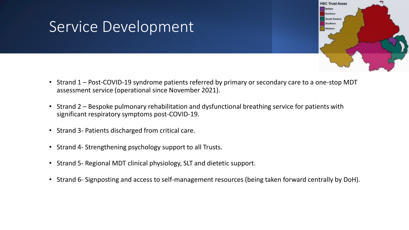#### Service Development

Rolfast Northern **South Easten** Southe Western

**HSC Trust Areas** 

- Strand 1 Post-COVID-19 syndrome patients referred by primary or secondary care to a one-stop MDT assessment service (operational since November 2021).
- Strand 2 Bespoke pulmonary rehabilitation and dysfunctional breathing service for patients with significant respiratory symptoms post-COVID-19.
- Strand 3- Patients discharged from critical care.
- Strand 4- Strengthening psychology support to all Trusts.
- Strand 5- Regional MDT clinical physiology, SLT and dietetic support.
- Strand 6- Signposting and access to self-management resources (being taken forward centrally by DoH).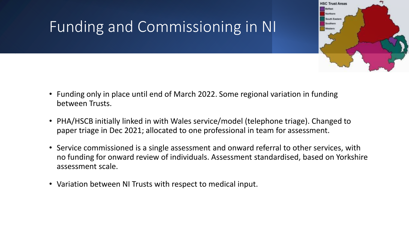# Funding and Commissioning in NI

- **HSC Trust Areas Belfast** Northern **South Eastern** Souther Western
- Funding only in place until end of March 2022. Some regional variation in funding between Trusts.
- PHA/HSCB initially linked in with Wales service/model (telephone triage). Changed to paper triage in Dec 2021; allocated to one professional in team for assessment.
- Service commissioned is a single assessment and onward referral to other services, with no funding for onward review of individuals. Assessment standardised, based on Yorkshire assessment scale.
- Variation between NI Trusts with respect to medical input.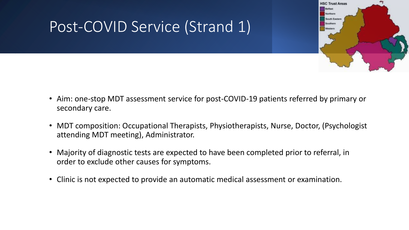## Post-COVID Service (Strand 1)

**HSC Trust Areas Belfast** Northern **South Easten** Souther Wester

- Aim: one-stop MDT assessment service for post-COVID-19 patients referred by primary or secondary care.
- MDT composition: Occupational Therapists, Physiotherapists, Nurse, Doctor, (Psychologist attending MDT meeting), Administrator.
- Majority of diagnostic tests are expected to have been completed prior to referral, in order to exclude other causes for symptoms.
- Clinic is not expected to provide an automatic medical assessment or examination.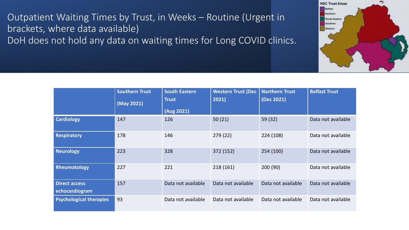Outpatient Waiting Times by Trust, in Weeks – Routine (Urgent in brackets, where data available) DoH does not hold any data on waiting times for Long COVID clinics.



|                                        | <b>Southern Trust</b><br>(May 2021) | <b>South Eastern</b><br><b>Trust</b><br>(Aug 2021) | <b>Western Trust (Dec</b><br>2021) | <b>Northern Trust</b><br>(Dec 2021) | <b>Belfast Trust</b> |
|----------------------------------------|-------------------------------------|----------------------------------------------------|------------------------------------|-------------------------------------|----------------------|
| <b>Cardiology</b>                      | 147                                 | 126                                                | 50(21)                             | 59 (32)                             | Data not available   |
| <b>Respiratory</b>                     | 178                                 | 146                                                | 279(22)                            | 224 (108)                           | Data not available   |
| <b>Neurology</b>                       | 223                                 | 328                                                | 372 (152)                          | 254 (100)                           | Data not available   |
| Rheumatology                           | 227                                 | 221                                                | 218(161)                           | 200(90)                             | Data not available   |
| <b>Direct access</b><br>echocardiogram | 157                                 | Data not available                                 | Data not available                 | Data not available                  | Data not available   |
| <b>Psychological therapies</b>         | 93                                  | Data not available                                 | Data not available                 | Data not available                  | Data not available   |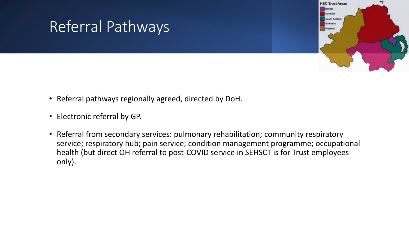### Referral Pathways

**HSC Trust Areas Belfast** Northern South Eastern Souther Western

- Referral pathways regionally agreed, directed by DoH.
- Electronic referral by GP.
- Referral from secondary services: pulmonary rehabilitation; community respiratory service; respiratory hub; pain service; condition management programme; occupational health (but direct OH referral to post-COVID service in SEHSCT is for Trust employees only).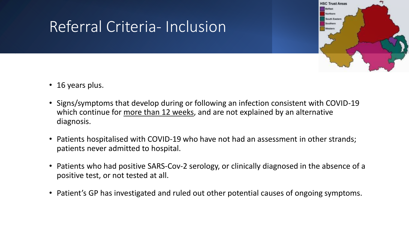## Referral Criteria- Inclusion



- 16 years plus.
- Signs/symptoms that develop during or following an infection consistent with COVID-19 which continue for more than 12 weeks, and are not explained by an alternative diagnosis.
- Patients hospitalised with COVID-19 who have not had an assessment in other strands; patients never admitted to hospital.
- Patients who had positive SARS-Cov-2 serology, or clinically diagnosed in the absence of a positive test, or not tested at all.
- Patient's GP has investigated and ruled out other potential causes of ongoing symptoms.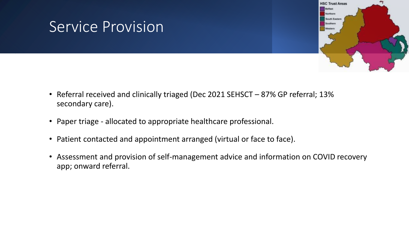#### Service Provision

- **HSC Trust Areas** Belfast Northern **South Easter** Souther Wester
- Referral received and clinically triaged (Dec 2021 SEHSCT 87% GP referral; 13% secondary care).
- Paper triage allocated to appropriate healthcare professional.
- Patient contacted and appointment arranged (virtual or face to face).
- Assessment and provision of self-management advice and information on COVID recovery app; onward referral.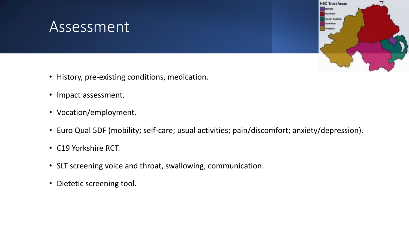#### Assessment

**HSC Trust Areas** Reiffast Northern **South Eastern** Southe Western

- History, pre-existing conditions, medication.
- Impact assessment.
- Vocation/employment.
- Euro Qual 5DF (mobility; self-care; usual activities; pain/discomfort; anxiety/depression).
- C19 Yorkshire RCT.
- SLT screening voice and throat, swallowing, communication.
- Dietetic screening tool.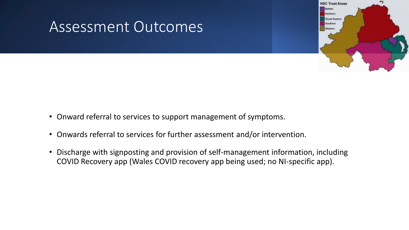

- Onward referral to services to support management of symptoms.
- Onwards referral to services for further assessment and/or intervention.
- Discharge with signposting and provision of self-management information, including COVID Recovery app (Wales COVID recovery app being used; no NI-specific app).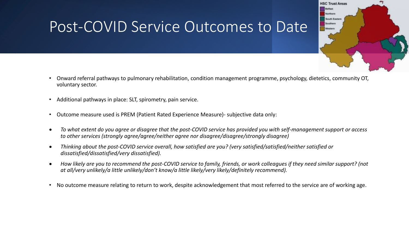### Post-COVID Service Outcomes to Date

• Onward referral pathways to pulmonary rehabilitation, condition management programme, psychology, dietetics, community OT, voluntary sector.

**HSC Trust Areas Belfast** Northern South Eastern Souther Western

- Additional pathways in place: SLT, spirometry, pain service.
- Outcome measure used is PREM (Patient Rated Experience Measure)- subjective data only:
- *To what extent do you agree or disagree that the post-COVID service has provided you with self-management support or access to other services (strongly agree/agree/neither agree nor disagree/disagree/strongly disagree)*
- *Thinking about the post-COVID service overall, how satisfied are you? (very satisfied/satisfied/neither satisfied or dissatisfied/dissatisfied/very dissatisfied).*
- *How likely are you to recommend the post-COVID service to family, friends, or work colleagues if they need similar support? (not at all/very unlikely/a little unlikely/don't know/a little likely/very likely/definitely recommend).*
- No outcome measure relating to return to work, despite acknowledgement that most referred to the service are of working age.